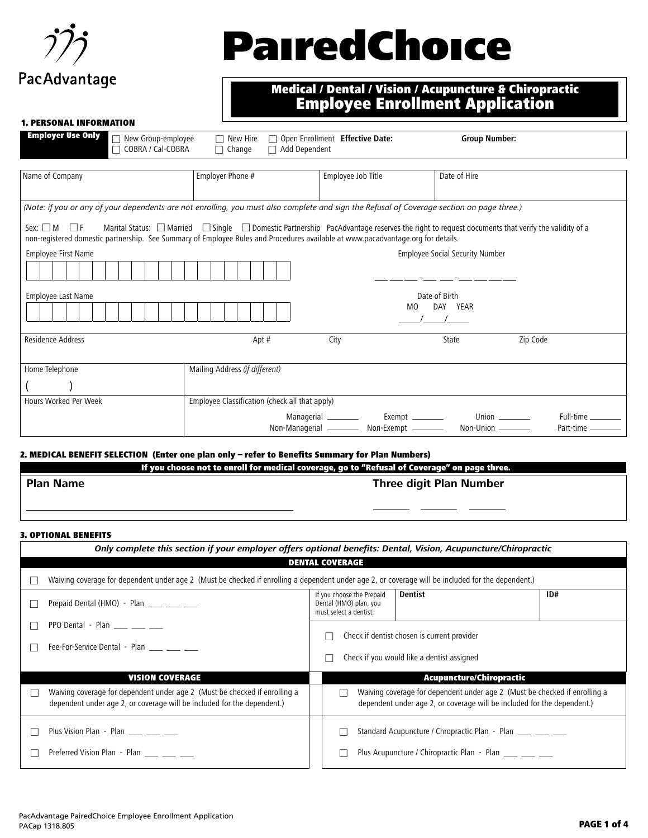

# **PairedChoice**

### Medical / Dental / Vision / Acupuncture & Chiropractic Employee Enrollment Application

#### 1. PERSONAL INFORMATION

| <b>Employer Use Only</b>                                                                                                                                   | New Group-employee<br>$\Box$ COBRA / Cal-COBRA | $\Box$ New Hire<br>$\Box$ Change               | $\Box$ Add Dependent | Open Enrollment Effective Date: | <b>Group Number:</b>                                                                                                                                        |                                           |
|------------------------------------------------------------------------------------------------------------------------------------------------------------|------------------------------------------------|------------------------------------------------|----------------------|---------------------------------|-------------------------------------------------------------------------------------------------------------------------------------------------------------|-------------------------------------------|
| Name of Company                                                                                                                                            |                                                | Employer Phone #                               |                      | Employee Job Title              | Date of Hire                                                                                                                                                |                                           |
| (Note: if you or any of your dependents are not enrolling, you must also complete and sign the Refusal of Coverage section on page three.)                 |                                                |                                                |                      |                                 |                                                                                                                                                             |                                           |
| Sex: $\Box M$ $\Box F$<br>non-registered domestic partnership. See Summary of Employee Rules and Procedures available at www.pacadvantage.org for details. |                                                |                                                |                      |                                 | Marital Status: $\Box$ Married $\Box$ Single $\Box$ Domestic Partnership PacAdvantage reserves the right to request documents that verify the validity of a |                                           |
| Employee First Name                                                                                                                                        |                                                |                                                |                      |                                 | <b>Employee Social Security Number</b>                                                                                                                      |                                           |
|                                                                                                                                                            |                                                |                                                |                      |                                 |                                                                                                                                                             |                                           |
| Employee Last Name                                                                                                                                         |                                                |                                                |                      |                                 | Date of Birth                                                                                                                                               |                                           |
|                                                                                                                                                            |                                                |                                                |                      |                                 | DAY YEAR<br>M <sub>0</sub>                                                                                                                                  |                                           |
| Residence Address                                                                                                                                          |                                                | Apt #                                          |                      | City                            | State                                                                                                                                                       | Zip Code                                  |
| Home Telephone                                                                                                                                             |                                                | Mailing Address (if different)                 |                      |                                 |                                                                                                                                                             |                                           |
|                                                                                                                                                            |                                                |                                                |                      |                                 |                                                                                                                                                             |                                           |
| Hours Worked Per Week                                                                                                                                      |                                                | Employee Classification (check all that apply) |                      |                                 |                                                                                                                                                             |                                           |
|                                                                                                                                                            |                                                |                                                |                      | Managerial _______              | Union $\qquad$<br>Exempt ________<br>Non-Managerial ____________ Non-Exempt ______________ Non-Union _________                                              | Full-time ________<br>Part-time _________ |

#### 2. MEDICAL BENEFIT SELECTION (Enter one plan only – refer to Benefits Summary for Plan Numbers)

| If you choose not to enroll for medical coverage, go to "Refusal of Coverage" on page three. |                                |  |  |  |
|----------------------------------------------------------------------------------------------|--------------------------------|--|--|--|
| <b>Plan Name</b>                                                                             | <b>Three digit Plan Number</b> |  |  |  |
|                                                                                              |                                |  |  |  |

#### 3. OPTIONAL BENEFITS

| Only complete this section if your employer offers optional benefits: Dental, Vision, Acupuncture/Chiropractic                                        |                                                                                           |                                                                                                                                                       |     |  |  |  |  |
|-------------------------------------------------------------------------------------------------------------------------------------------------------|-------------------------------------------------------------------------------------------|-------------------------------------------------------------------------------------------------------------------------------------------------------|-----|--|--|--|--|
| <b>DENTAL COVERAGE</b>                                                                                                                                |                                                                                           |                                                                                                                                                       |     |  |  |  |  |
| Waiving coverage for dependent under age 2 (Must be checked if enrolling a dependent under age 2, or coverage will be included for the dependent.)    |                                                                                           |                                                                                                                                                       |     |  |  |  |  |
| Prepaid Dental (HMO) - Plan ___ __ __ __                                                                                                              | If you choose the Prepaid<br>Dental (HMO) plan, you<br>must select a dentist:             | Dentist                                                                                                                                               | ID# |  |  |  |  |
| PPO Dental - Plan                                                                                                                                     |                                                                                           |                                                                                                                                                       |     |  |  |  |  |
| Fee-For-Service Dental - Plan ____ ___ ___                                                                                                            | Check if dentist chosen is current provider<br>Check if you would like a dentist assigned |                                                                                                                                                       |     |  |  |  |  |
| <b>VISION COVERAGE</b>                                                                                                                                |                                                                                           | <b>Acupuncture/Chiropractic</b>                                                                                                                       |     |  |  |  |  |
| Waiving coverage for dependent under age 2 (Must be checked if enrolling a<br>dependent under age 2, or coverage will be included for the dependent.) |                                                                                           | Waiving coverage for dependent under age 2 (Must be checked if enrolling a<br>dependent under age 2, or coverage will be included for the dependent.) |     |  |  |  |  |
| Plus Vision Plan - Plan                                                                                                                               |                                                                                           | Standard Acupuncture / Chropractic Plan - Plan ____ ___ ___                                                                                           |     |  |  |  |  |
| Preferred Vision Plan - Plan                                                                                                                          |                                                                                           | Plus Acupuncture / Chiropractic Plan - Plan ____ ___ ___                                                                                              |     |  |  |  |  |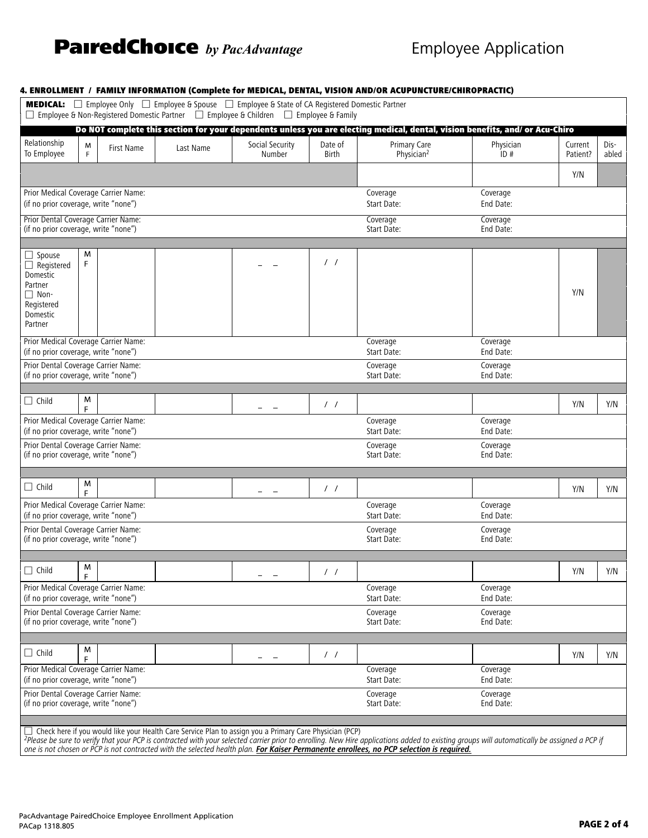## **PairedChoice** by PacAdvantage **Employee Application**

|                                                                                                               |        |            |           | □ Employee & Non-Registered Domestic Partner □ Employee & Children □ Employee & Family |                         |                                                                                                                              |                       |                     |               |
|---------------------------------------------------------------------------------------------------------------|--------|------------|-----------|----------------------------------------------------------------------------------------|-------------------------|------------------------------------------------------------------------------------------------------------------------------|-----------------------|---------------------|---------------|
|                                                                                                               |        |            |           |                                                                                        |                         | Do NOT complete this section for your dependents unless you are electing medical, dental, vision benefits, and/ or Acu-Chiro |                       |                     |               |
| Relationship<br>To Employee                                                                                   | M<br>F | First Name | Last Name | Social Security<br>Number                                                              | Date of<br><b>Birth</b> | Primary Care<br>Physician <sup>2</sup>                                                                                       | Physician<br>ID#      | Current<br>Patient? | Dis-<br>abled |
|                                                                                                               |        |            |           |                                                                                        |                         |                                                                                                                              |                       | Y/N                 |               |
| Prior Medical Coverage Carrier Name:<br>(if no prior coverage, write "none")                                  |        |            |           |                                                                                        |                         | Coverage<br>Start Date:                                                                                                      | Coverage<br>End Date: |                     |               |
| Prior Dental Coverage Carrier Name:<br>(if no prior coverage, write "none")                                   |        |            |           |                                                                                        |                         | Coverage<br>Start Date:                                                                                                      | Coverage<br>End Date: |                     |               |
|                                                                                                               |        |            |           |                                                                                        |                         |                                                                                                                              |                       |                     |               |
| $\Box$ Spouse<br>$\Box$ Registered<br>Domestic<br>Partner<br>$\Box$ Non-<br>Registered<br>Domestic<br>Partner | M<br>F |            |           |                                                                                        | 11                      |                                                                                                                              |                       | Y/N                 |               |
| Prior Medical Coverage Carrier Name:<br>(if no prior coverage, write "none")                                  |        |            |           |                                                                                        |                         | Coverage<br>Start Date:                                                                                                      | Coverage<br>End Date: |                     |               |
| Prior Dental Coverage Carrier Name:<br>(if no prior coverage, write "none")                                   |        |            |           |                                                                                        |                         | Coverage<br>Start Date:                                                                                                      | Coverage<br>End Date: |                     |               |
| $\Box$ Child                                                                                                  | M<br>F |            |           | $\sim$                                                                                 | $\frac{1}{2}$           |                                                                                                                              |                       | Y/N                 | Y/N           |
| Prior Medical Coverage Carrier Name:<br>(if no prior coverage, write "none")                                  |        |            |           |                                                                                        |                         | Coverage<br>Start Date:                                                                                                      | Coverage<br>End Date: |                     |               |
| Prior Dental Coverage Carrier Name:<br>(if no prior coverage, write "none")                                   |        |            |           |                                                                                        |                         | Coverage<br>Start Date:                                                                                                      | Coverage<br>End Date: |                     |               |
|                                                                                                               |        |            |           |                                                                                        |                         |                                                                                                                              |                       |                     |               |
| $\Box$ Child                                                                                                  | M<br>F |            |           |                                                                                        | $\frac{1}{2}$           |                                                                                                                              |                       | Y/N                 | Y/N           |
| Prior Medical Coverage Carrier Name:<br>(if no prior coverage, write "none")                                  |        |            |           |                                                                                        |                         | Coverage<br>Start Date:                                                                                                      | Coverage<br>End Date: |                     |               |
| Prior Dental Coverage Carrier Name:<br>(if no prior coverage, write "none")                                   |        |            |           |                                                                                        |                         | Coverage<br>Start Date:                                                                                                      | Coverage<br>End Date: |                     |               |
| $\Box$ Child                                                                                                  | M      |            |           |                                                                                        | $\frac{1}{2}$           |                                                                                                                              |                       | Y/N                 | Y/N           |
| Prior Medical Coverage Carrier Name:<br>(if no prior coverage, write "none")                                  | F      |            |           |                                                                                        |                         | Coverage<br>Start Date:                                                                                                      | Coverage<br>End Date: |                     |               |
| Prior Dental Coverage Carrier Name:<br>(if no prior coverage, write "none")                                   |        |            |           |                                                                                        |                         | Coverage<br>Start Date:                                                                                                      | Coverage<br>End Date: |                     |               |
|                                                                                                               |        |            |           |                                                                                        |                         |                                                                                                                              |                       |                     |               |
| $\Box$ Child                                                                                                  | M<br>F |            |           |                                                                                        | $\prime$ /              |                                                                                                                              |                       | Y/N                 | Y/N           |
| Prior Medical Coverage Carrier Name:<br>(if no prior coverage, write "none")                                  |        |            |           |                                                                                        |                         | Coverage<br>Start Date:                                                                                                      | Coverage<br>End Date: |                     |               |
| Prior Dental Coverage Carrier Name:<br>(if no prior coverage, write "none")                                   |        |            |           |                                                                                        |                         | Coverage<br>Start Date:                                                                                                      | Coverage<br>End Date: |                     |               |
|                                                                                                               |        |            |           |                                                                                        |                         |                                                                                                                              |                       |                     |               |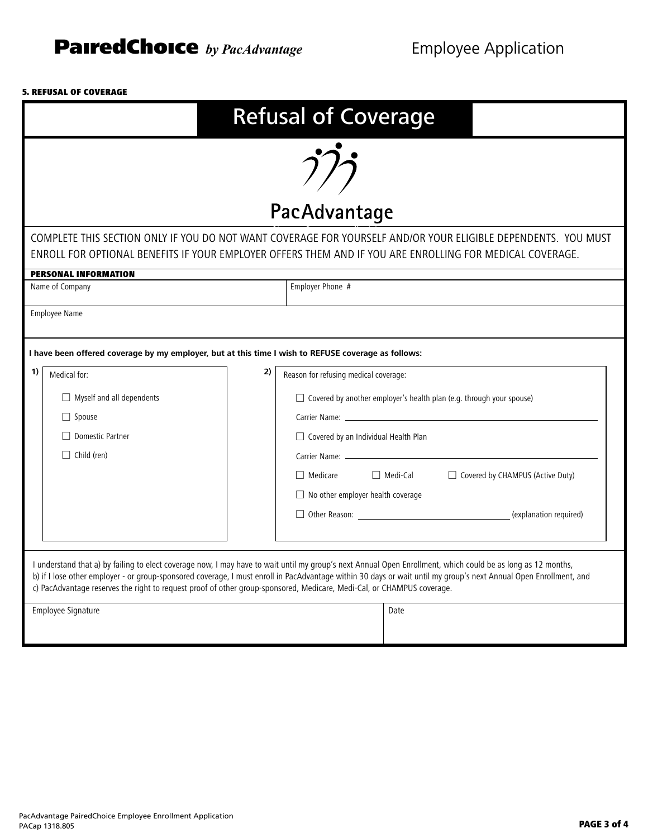#### 5. REFUSAL OF COVERAGE

|                                                                                                                                                                                                                           | <b>Refusal of Coverage</b>                                                                                                                                                                                                                                                                                                                                                                                                                                  |      |                                                                                                                                              |  |  |  |
|---------------------------------------------------------------------------------------------------------------------------------------------------------------------------------------------------------------------------|-------------------------------------------------------------------------------------------------------------------------------------------------------------------------------------------------------------------------------------------------------------------------------------------------------------------------------------------------------------------------------------------------------------------------------------------------------------|------|----------------------------------------------------------------------------------------------------------------------------------------------|--|--|--|
|                                                                                                                                                                                                                           | PacAdvantage                                                                                                                                                                                                                                                                                                                                                                                                                                                |      |                                                                                                                                              |  |  |  |
| COMPLETE THIS SECTION ONLY IF YOU DO NOT WANT COVERAGE FOR YOURSELF AND/OR YOUR ELIGIBLE DEPENDENTS. YOU MUST<br>ENROLL FOR OPTIONAL BENEFITS IF YOUR EMPLOYER OFFERS THEM AND IF YOU ARE ENROLLING FOR MEDICAL COVERAGE. |                                                                                                                                                                                                                                                                                                                                                                                                                                                             |      |                                                                                                                                              |  |  |  |
|                                                                                                                                                                                                                           | <b>PERSONAL INFORMATION</b><br>Name of Company                                                                                                                                                                                                                                                                                                                                                                                                              |      | Employer Phone #                                                                                                                             |  |  |  |
|                                                                                                                                                                                                                           | <b>Employee Name</b><br>I have been offered coverage by my employer, but at this time I wish to REFUSE coverage as follows:                                                                                                                                                                                                                                                                                                                                 |      |                                                                                                                                              |  |  |  |
| 1)<br>2)<br>Medical for:<br>Reason for refusing medical coverage:                                                                                                                                                         |                                                                                                                                                                                                                                                                                                                                                                                                                                                             |      |                                                                                                                                              |  |  |  |
|                                                                                                                                                                                                                           | $\Box$ Covered by another employer's health plan (e.g. through your spouse)<br>$\Box$ Myself and all dependents<br>$\Box$ Spouse<br>□ Domestic Partner<br>$\Box$ Covered by an Individual Health Plan                                                                                                                                                                                                                                                       |      |                                                                                                                                              |  |  |  |
|                                                                                                                                                                                                                           | $\Box$ Child (ren)                                                                                                                                                                                                                                                                                                                                                                                                                                          |      | $\Box$ Medi-Cal<br>Covered by CHAMPUS (Active Duty)<br>$\Box$ Medicare<br>$\Box$ No other employer health coverage<br>(explanation required) |  |  |  |
|                                                                                                                                                                                                                           | I understand that a) by failing to elect coverage now, I may have to wait until my group's next Annual Open Enrollment, which could be as long as 12 months,<br>b) if I lose other employer - or group-sponsored coverage, I must enroll in PacAdvantage within 30 days or wait until my group's next Annual Open Enrollment, and<br>c) PacAdvantage reserves the right to request proof of other group-sponsored, Medicare, Medi-Cal, or CHAMPUS coverage. |      |                                                                                                                                              |  |  |  |
|                                                                                                                                                                                                                           | Employee Signature                                                                                                                                                                                                                                                                                                                                                                                                                                          | Date |                                                                                                                                              |  |  |  |